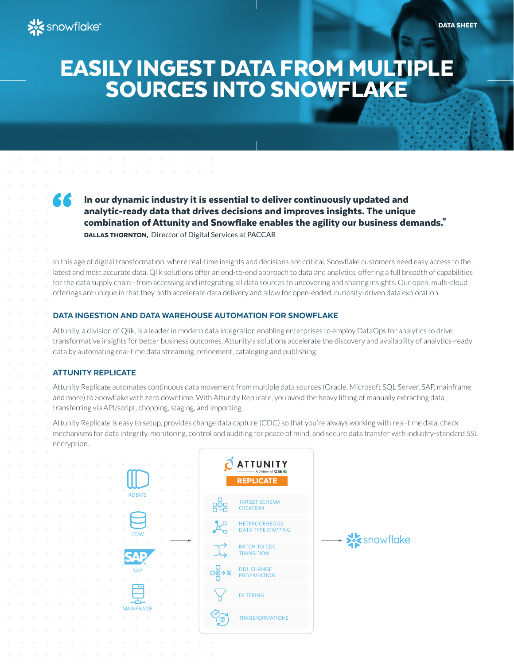# EASILY INGEST DATA FROM MULTIPLE SOURCES INTO SNOWFLAKE

 In our dynamic industry it is essential to deliver continuously updated and analytic-ready data that drives decisions and improves insights. The unique combination of Attunity and Snowflake enables the agility our business demands." DALLAS THORNTON, Director of Digital Services at PACCAR

In this age of digital transformation, where real-time insights and decisions are critical, Snowflake customers need easy access to the latest and most accurate data. Qlik solutions offer an end-to-end approach to data and analytics, offering a full breadth of capabilities for the data supply chain - from accessing and integrating all data sources to uncovering and sharing insights. Our open, multi-cloud offerings are unique in that they both accelerate data delivery and allow for open-ended, curiosity-driven data exploration.

## DATA INGESTION AND DATA WAREHOUSE AUTOMATION FOR SNOWFLAKE

Attunity, a division of Qlik, is a leader in modern data integration enabling enterprises to employ DataOps for analytics to drive transformative insights for better business outcomes. Attunity's solutions accelerate the discovery and availability of analytics-ready data by automating real-time data streaming, refinement, cataloging and publishing.

# ATTUNITY REPLICATE

Attunity Replicate automates continuous data movement from multiple data sources (Oracle, Microsoft SQL Server, SAP, mainframe and more) to Snowflake with zero downtime. With Attunity Replicate, you avoid the heavy lifting of manually extracting data, transferring via API/script, chopping, staging, and importing.

Attunity Replicate is easy to setup, provides change data capture (CDC) so that you're always working with real-time data, check mechanisms for data integrity, monitoring, control and auditing for peace of mind, and secure data transfer with industry-standard SSL encryption.